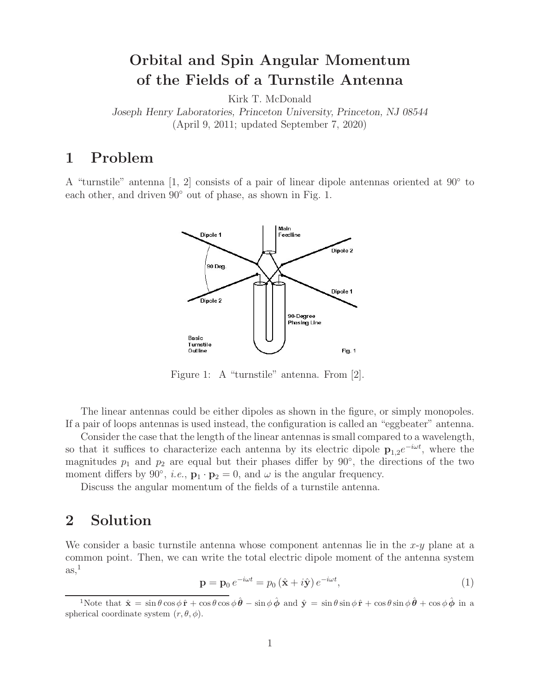# **Orbital and Spin Angular Momentum of the Fields of a Turnstile Antenna**

Kirk T. McDonald

*Joseph Henry Laboratories, Princeton University, Princeton, NJ 08544* (April 9, 2011; updated September 7, 2020)

### **1 Problem**

A "turnstile" antenna [1, 2] consists of a pair of linear dipole antennas oriented at 90◦ to each other, and driven  $90°$  out of phase, as shown in Fig. 1.



Figure 1: A "turnstile" antenna. From [2].

The linear antennas could be either dipoles as shown in the figure, or simply monopoles. If a pair of loops antennas is used instead, the configuration is called an "eggbeater" antenna.

Consider the case that the length of the linear antennas is small compared to a wavelength, so that it suffices to characterize each antenna by its electric dipole  $\mathbf{p}_{1,2}e^{-i\omega t}$ , where the magnitudes  $p_1$  and  $p_2$  are equal but their phases differ by 90 $\degree$ , the directions of the two moment differs by 90<sup>°</sup>, *i.e.*,  $\mathbf{p}_1 \cdot \mathbf{p}_2 = 0$ , and  $\omega$  is the angular frequency.

Discuss the angular momentum of the fields of a turnstile antenna.

#### **2 Solution**

We consider a basic turnstile antenna whose component antennas lie in the  $x-y$  plane at a common point. Then, we can write the total electric dipole moment of the antenna system  $\text{as},\frac{1}{1}$ 

$$
\mathbf{p} = \mathbf{p}_0 e^{-i\omega t} = p_0 \left( \hat{\mathbf{x}} + i \hat{\mathbf{y}} \right) e^{-i\omega t},\tag{1}
$$

<sup>&</sup>lt;sup>1</sup>Note that  $\hat{\mathbf{x}} = \sin \theta \cos \phi \, \hat{\mathbf{r}} + \cos \theta \cos \phi \, \hat{\boldsymbol{\theta}} - \sin \phi \, \hat{\boldsymbol{\phi}}$  and  $\hat{\mathbf{v}} = \sin \theta \sin \phi \, \hat{\mathbf{r}} + \cos \theta \sin \phi \, \hat{\boldsymbol{\theta}} + \cos \phi \, \hat{\boldsymbol{\phi}}$  in a spherical coordinate system  $(r, \theta, \phi)$ .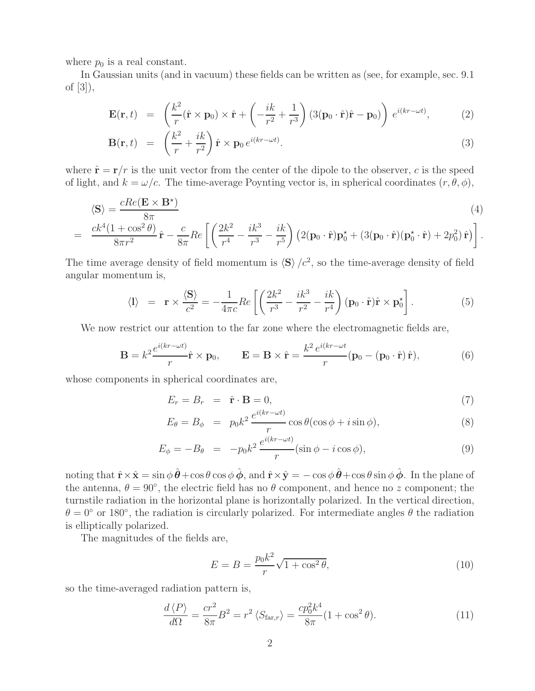where  $p_0$  is a real constant.

In Gaussian units (and in vacuum) these fields can be written as (see, for example, sec. 9.1 of [3]),

$$
\mathbf{E}(\mathbf{r},t) = \left(\frac{k^2}{r}(\hat{\mathbf{r}} \times \mathbf{p}_0) \times \hat{\mathbf{r}} + \left(-\frac{ik}{r^2} + \frac{1}{r^3}\right) (3(\mathbf{p}_0 \cdot \hat{\mathbf{r}}) \hat{\mathbf{r}} - \mathbf{p}_0) \right) e^{i(kr - \omega t)}, \quad (2)
$$

$$
\mathbf{B}(\mathbf{r},t) = \left(\frac{k^2}{r} + \frac{ik}{r^2}\right)\hat{\mathbf{r}} \times \mathbf{p}_0 e^{i(kr - \omega t)}.
$$
 (3)

where  $\hat{\mathbf{r}} = \mathbf{r}/r$  is the unit vector from the center of the dipole to the observer, c is the speed of light, and  $k = \omega/c$ . The time-average Poynting vector is, in spherical coordinates  $(r, \theta, \phi)$ ,

$$
\langle \mathbf{S} \rangle = \frac{cRe(\mathbf{E} \times \mathbf{B}^*)}{8\pi} \tag{4}
$$

$$
= \frac{ck^4(1+\cos^2\theta)}{8\pi r^2}\hat{\mathbf{r}} - \frac{c}{8\pi}Re\left[\left(\frac{2k^2}{r^4} - \frac{ik^3}{r^3} - \frac{ik}{r^5}\right)\left(2(\mathbf{p}_0\cdot\hat{\mathbf{r}})\mathbf{p}_0^{\star} + (3(\mathbf{p}_0\cdot\hat{\mathbf{r}})(\mathbf{p}_0^{\star}\cdot\hat{\mathbf{r}}) + 2p_0^2)\hat{\mathbf{r}}\right)\right].
$$

The time average density of field momentum is  $\langle S \rangle /c^2$ , so the time-average density of field angular momentum is,

$$
\langle I \rangle = \mathbf{r} \times \frac{\langle \mathbf{S} \rangle}{c^2} = -\frac{1}{4\pi c} Re \left[ \left( \frac{2k^2}{r^3} - \frac{ik^3}{r^2} - \frac{ik}{r^4} \right) (\mathbf{p}_0 \cdot \hat{\mathbf{r}}) \hat{\mathbf{r}} \times \mathbf{p}_0^{\star} \right]. \tag{5}
$$

We now restrict our attention to the far zone where the electromagnetic fields are,

$$
\mathbf{B} = k^2 \frac{e^{i(kr - \omega t)}}{r} \hat{\mathbf{r}} \times \mathbf{p}_0, \qquad \mathbf{E} = \mathbf{B} \times \hat{\mathbf{r}} = \frac{k^2 e^{i(kr - \omega t}}{r} (\mathbf{p}_0 - (\mathbf{p}_0 \cdot \hat{\mathbf{r}}) \hat{\mathbf{r}}), \tag{6}
$$

whose components in spherical coordinates are,

$$
E_r = B_r = \hat{\mathbf{r}} \cdot \mathbf{B} = 0,\tag{7}
$$

$$
E_{\theta} = B_{\phi} = p_0 k^2 \frac{e^{i(kr - \omega t)}}{r} \cos \theta (\cos \phi + i \sin \phi), \tag{8}
$$

$$
E_{\phi} = -B_{\theta} = -p_0 k^2 \frac{e^{i(kr - \omega t)}}{r} (\sin \phi - i \cos \phi), \tag{9}
$$

noting that  $\hat{\mathbf{r}} \times \hat{\mathbf{x}} = \sin \phi \, \hat{\boldsymbol{\theta}} + \cos \theta \cos \phi \, \hat{\boldsymbol{\phi}}$ , and  $\hat{\mathbf{r}} \times \hat{\mathbf{y}} = -\cos \phi \, \hat{\boldsymbol{\theta}} + \cos \theta \sin \phi \, \hat{\boldsymbol{\phi}}$ . In the plane of the antenna,  $\theta = 90^{\circ}$ , the electric field has no  $\theta$  component, and hence no z component; the turnstile radiation in the horizontal plane is horizontally polarized. In the vertical direction,  $\theta = 0^{\circ}$  or 180°, the radiation is circularly polarized. For intermediate angles  $\theta$  the radiation is elliptically polarized.

The magnitudes of the fields are,

$$
E = B = \frac{p_0 k^2}{r} \sqrt{1 + \cos^2 \theta},
$$
\n(10)

so the time-averaged radiation pattern is,

$$
\frac{d\langle P\rangle}{d\Omega} = \frac{cr^2}{8\pi}B^2 = r^2 \langle S_{\text{far},r}\rangle = \frac{cp_0^2 k^4}{8\pi} (1 + \cos^2 \theta). \tag{11}
$$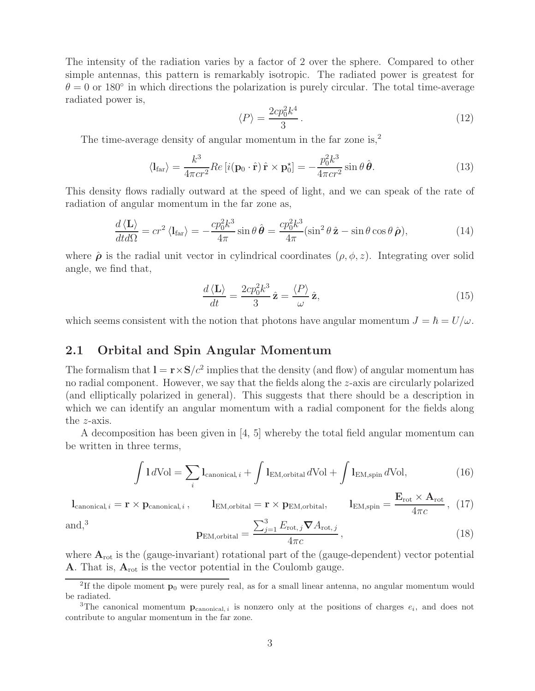The intensity of the radiation varies by a factor of 2 over the sphere. Compared to other simple antennas, this pattern is remarkably isotropic. The radiated power is greatest for  $\theta = 0$  or 180 $\degree$  in which directions the polarization is purely circular. The total time-average radiated power is,

$$
\langle P \rangle = \frac{2cp_0^2 k^4}{3} \,. \tag{12}
$$

The time-average density of angular momentum in the far zone is,<sup>2</sup>

$$
\langle I_{\text{far}} \rangle = \frac{k^3}{4\pi c r^2} Re \left[ i(\mathbf{p}_0 \cdot \hat{\mathbf{r}}) \, \hat{\mathbf{r}} \times \mathbf{p}_0^{\star} \right] = -\frac{p_0^2 k^3}{4\pi c r^2} \sin \theta \, \hat{\boldsymbol{\theta}}. \tag{13}
$$

This density flows radially outward at the speed of light, and we can speak of the rate of radiation of angular momentum in the far zone as,

$$
\frac{d\left\langle \mathbf{L} \right\rangle}{dt d\Omega} = c r^2 \left\langle \mathbf{l}_{\text{far}} \right\rangle = -\frac{c p_0^2 k^3}{4\pi} \sin \theta \,\hat{\boldsymbol{\theta}} = \frac{c p_0^2 k^3}{4\pi} (\sin^2 \theta \,\hat{\mathbf{z}} - \sin \theta \cos \theta \,\hat{\boldsymbol{\rho}}),\tag{14}
$$

where  $\hat{\rho}$  is the radial unit vector in cylindrical coordinates  $(\rho, \phi, z)$ . Integrating over solid angle, we find that,

$$
\frac{d\left\langle \mathbf{L} \right\rangle}{dt} = \frac{2cp_0^2 k^3}{3} \hat{\mathbf{z}} = \frac{\left\langle P \right\rangle}{\omega} \hat{\mathbf{z}},\tag{15}
$$

which seems consistent with the notion that photons have angular momentum  $J = \hbar = U/\omega$ .

#### **2.1 Orbital and Spin Angular Momentum**

The formalism that  $\mathbf{l} = \mathbf{r} \times \mathbf{S}/c^2$  implies that the density (and flow) of angular momentum has no radial component. However, we say that the fields along the z-axis are circularly polarized (and elliptically polarized in general). This suggests that there should be a description in which we can identify an angular momentum with a radial component for the fields along the z-axis.

A decomposition has been given in [4, 5] whereby the total field angular momentum can be written in three terms,

$$
\int 1 d\text{Vol} = \sum_{i} \text{I}_{\text{canonical}, i} + \int \text{I}_{\text{EM}, \text{orbital}} d\text{Vol} + \int \text{I}_{\text{EM}, \text{spin}} d\text{Vol},\tag{16}
$$

 $\mathbf{l}_{\text{canonical}, i} = \mathbf{r} \times \mathbf{p}_{\text{canonical}, i} \,, \qquad \mathbf{l}_{\text{EM}, \text{orbital}} = \mathbf{r} \times \mathbf{p}_{\text{EM}, \text{orbital}}, \qquad \mathbf{l}_{\text{EM}, \text{spin}} = \frac{\mathbf{E}_{\text{rot}} \times \mathbf{A}_{\text{rot}}}{4 \pi c} \,, \tag{17}$ 3

$$
\mathbf{p}_{\text{EM},\text{orbital}} = \frac{\sum_{j=1}^{3} E_{\text{rot},j} \nabla A_{\text{rot},j}}{4\pi c},\tag{18}
$$

and.<sup>3</sup>

where 
$$
A_{\text{rot}}
$$
 is the (gauge-invariant) rotational part of the (gauge-dependent) vector potential **A**. That is,  $A_{\text{rot}}$  is the vector potential in the Coulomb gauge.

<sup>&</sup>lt;sup>2</sup>If the dipole moment  $\mathbf{p}_0$  were purely real, as for a small linear antenna, no angular momentum would be radiated.

<sup>&</sup>lt;sup>3</sup>The canonical momentum  $\mathbf{p}_{canonical, i}$  is nonzero only at the positions of charges  $e_i$ , and does not contribute to angular momentum in the far zone.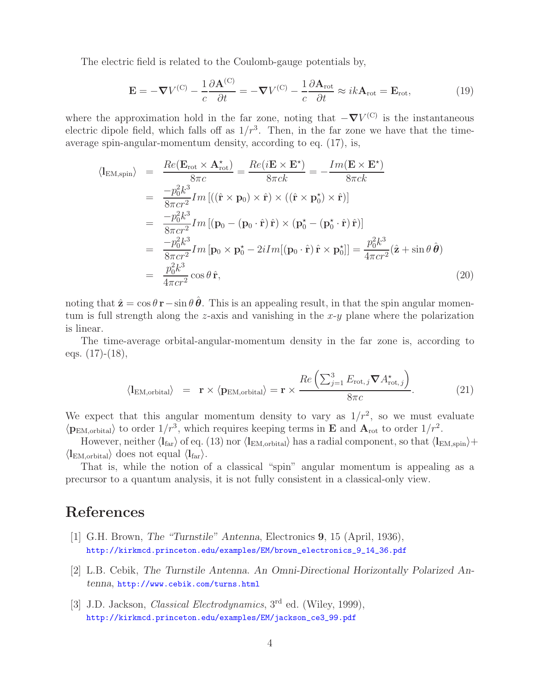The electric field is related to the Coulomb-gauge potentials by,

$$
\mathbf{E} = -\nabla V^{(C)} - \frac{1}{c} \frac{\partial \mathbf{A}^{(C)}}{\partial t} = -\nabla V^{(C)} - \frac{1}{c} \frac{\partial \mathbf{A}_{\text{rot}}}{\partial t} \approx ik \mathbf{A}_{\text{rot}} = \mathbf{E}_{\text{rot}},\tag{19}
$$

where the approximation hold in the far zone, noting that  $-\nabla V^{(C)}$  is the instantaneous electric dipole field, which falls off as  $1/r<sup>3</sup>$ . Then, in the far zone we have that the timeaverage spin-angular-momentum density, according to eq. (17), is,

$$
\langle I_{\text{EM,spin}} \rangle = \frac{Re(\mathbf{E}_{\text{rot}} \times \mathbf{A}_{\text{rot}}^*)}{8\pi c} = \frac{Re(i\mathbf{E} \times \mathbf{E}^*)}{8\pi ck} = -\frac{Im(\mathbf{E} \times \mathbf{E}^*)}{8\pi ck}
$$
  
\n
$$
= \frac{-p_0^2 k^3}{8\pi c r^2} Im[(\hat{\mathbf{r}} \times \mathbf{p}_0) \times \hat{\mathbf{r}}) \times ((\hat{\mathbf{r}} \times \mathbf{p}_0^*) \times \hat{\mathbf{r}})]
$$
  
\n
$$
= \frac{-p_0^2 k^3}{8\pi c r^2} Im[(\mathbf{p}_0 - (\mathbf{p}_0 \cdot \hat{\mathbf{r}}) \hat{\mathbf{r}}) \times (\mathbf{p}_0^* - (\mathbf{p}_0^* \cdot \hat{\mathbf{r}}) \hat{\mathbf{r}})]
$$
  
\n
$$
= \frac{-p_0^2 k^3}{8\pi c r^2} Im[\mathbf{p}_0 \times \mathbf{p}_0^* - 2iIm[(\mathbf{p}_0 \cdot \hat{\mathbf{r}}) \hat{\mathbf{r}} \times \mathbf{p}_0^*]] = \frac{p_0^2 k^3}{4\pi c r^2} (\hat{\mathbf{z}} + \sin \theta \hat{\boldsymbol{\theta}})
$$
  
\n
$$
= \frac{p_0^2 k^3}{4\pi c r^2} \cos \theta \hat{\mathbf{r}},
$$
 (20)

noting that  $\hat{\mathbf{z}} = \cos \theta \, \mathbf{r} - \sin \theta \, \hat{\boldsymbol{\theta}}$ . This is an appealing result, in that the spin angular momentum is full strength along the z-axis and vanishing in the  $x-y$  plane where the polarization is linear.

The time-average orbital-angular-momentum density in the far zone is, according to eqs.  $(17)-(18)$ ,

$$
\langle \mathbf{l}_{\text{EM},\text{orbital}} \rangle = \mathbf{r} \times \langle \mathbf{p}_{\text{EM},\text{orbital}} \rangle = \mathbf{r} \times \frac{Re\left(\sum_{j=1}^{3} E_{\text{rot},j} \boldsymbol{\nabla} A_{\text{rot},j}^{\star}\right)}{8\pi c}.
$$
 (21)

We expect that this angular momentum density to vary as  $1/r^2$ , so we must evaluate  $\langle \mathbf{p}_{\text{EM,orbital}} \rangle$  to order  $1/r^3$ , which requires keeping terms in **E** and  $\mathbf{A}_{\text{rot}}$  to order  $1/r^2$ .

However, neither  $\langle I_{\text{far}} \rangle$  of eq. (13) nor  $\langle I_{\text{EM}, \text{orbital}} \rangle$  has a radial component, so that  $\langle I_{\text{EM}, \text{spin}} \rangle$ +  $\langle \mathbf{l}_{\text{EM}, \text{orbital}} \rangle$  does not equal  $\langle \mathbf{l}_{\text{far}} \rangle$ .

That is, while the notion of a classical "spin" angular momentum is appealing as a precursor to a quantum analysis, it is not fully consistent in a classical-only view.

## **References**

- [1] G.H. Brown, *The "Turnstile" Antenna*, Electronics **9**, 15 (April, 1936), http://kirkmcd.princeton.edu/examples/EM/brown\_electronics\_9\_14\_36.pdf
- [2] L.B. Cebik, *The Turnstile Antenna. An Omni-Directional Horizontally Polarized Antenna*, http://www.cebik.com/turns.html
- [3] J.D. Jackson, *Classical Electrodynamics*, 3rd ed. (Wiley, 1999), http://kirkmcd.princeton.edu/examples/EM/jackson\_ce3\_99.pdf